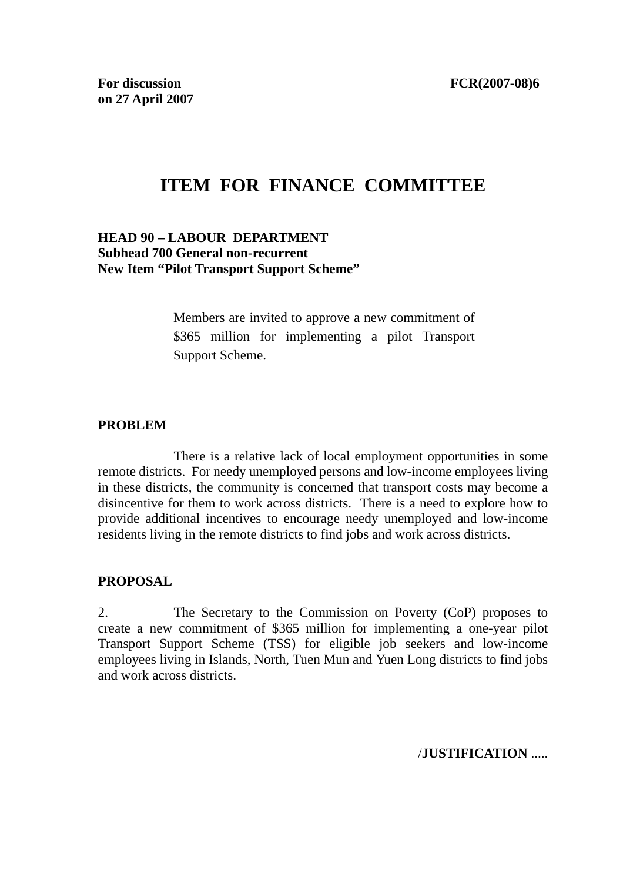# **ITEM FOR FINANCE COMMITTEE**

### **HEAD 90 – LABOUR DEPARTMENT Subhead 700 General non-recurrent New Item "Pilot Transport Support Scheme"**

Members are invited to approve a new commitment of \$365 million for implementing a pilot Transport Support Scheme.

#### **PROBLEM**

 There is a relative lack of local employment opportunities in some remote districts. For needy unemployed persons and low-income employees living in these districts, the community is concerned that transport costs may become a disincentive for them to work across districts. There is a need to explore how to provide additional incentives to encourage needy unemployed and low-income residents living in the remote districts to find jobs and work across districts.

### **PROPOSAL**

2. The Secretary to the Commission on Poverty (CoP) proposes to create a new commitment of \$365 million for implementing a one-year pilot Transport Support Scheme (TSS) for eligible job seekers and low-income employees living in Islands, North, Tuen Mun and Yuen Long districts to find jobs and work across districts.

/**JUSTIFICATION** .....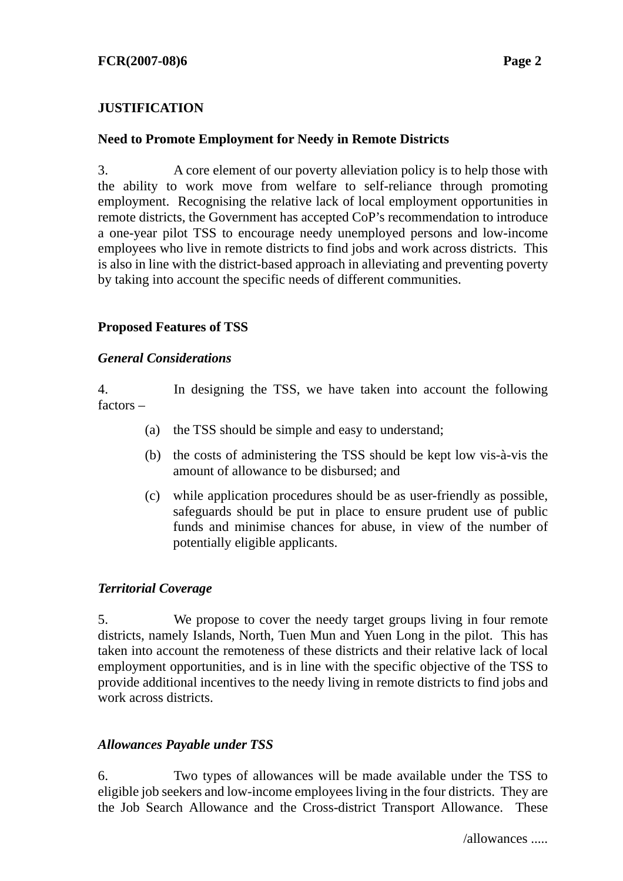# **JUSTIFICATION**

### **Need to Promote Employment for Needy in Remote Districts**

3. A core element of our poverty alleviation policy is to help those with the ability to work move from welfare to self-reliance through promoting employment. Recognising the relative lack of local employment opportunities in remote districts, the Government has accepted CoP's recommendation to introduce a one-year pilot TSS to encourage needy unemployed persons and low-income employees who live in remote districts to find jobs and work across districts. This is also in line with the district-based approach in alleviating and preventing poverty by taking into account the specific needs of different communities.

# **Proposed Features of TSS**

### *General Considerations*

4. In designing the TSS, we have taken into account the following factors –

- (a) the TSS should be simple and easy to understand;
- (b) the costs of administering the TSS should be kept low vis-à-vis the amount of allowance to be disbursed; and
- (c) while application procedures should be as user-friendly as possible, safeguards should be put in place to ensure prudent use of public funds and minimise chances for abuse, in view of the number of potentially eligible applicants.

### *Territorial Coverage*

5. We propose to cover the needy target groups living in four remote districts, namely Islands, North, Tuen Mun and Yuen Long in the pilot. This has taken into account the remoteness of these districts and their relative lack of local employment opportunities, and is in line with the specific objective of the TSS to provide additional incentives to the needy living in remote districts to find jobs and work across districts.

### *Allowances Payable under TSS*

6. Two types of allowances will be made available under the TSS to eligible job seekers and low-income employees living in the four districts. They are the Job Search Allowance and the Cross-district Transport Allowance. These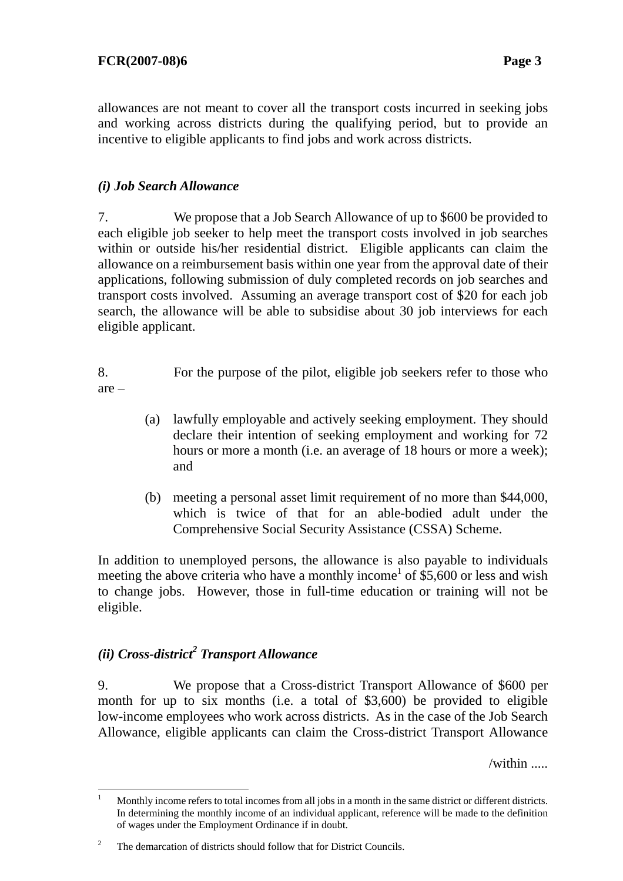allowances are not meant to cover all the transport costs incurred in seeking jobs and working across districts during the qualifying period, but to provide an incentive to eligible applicants to find jobs and work across districts.

### *(i) Job Search Allowance*

7. We propose that a Job Search Allowance of up to \$600 be provided to each eligible job seeker to help meet the transport costs involved in job searches within or outside his/her residential district. Eligible applicants can claim the allowance on a reimbursement basis within one year from the approval date of their applications, following submission of duly completed records on job searches and transport costs involved. Assuming an average transport cost of \$20 for each job search, the allowance will be able to subsidise about 30 job interviews for each eligible applicant.

- 8. For the purpose of the pilot, eligible job seekers refer to those who are –
	- (a) lawfully employable and actively seeking employment. They should declare their intention of seeking employment and working for 72 hours or more a month (i.e. an average of 18 hours or more a week); and
	- (b) meeting a personal asset limit requirement of no more than \$44,000, which is twice of that for an able-bodied adult under the Comprehensive Social Security Assistance (CSSA) Scheme.

In addition to unemployed persons, the allowance is also payable to individuals meeting the above criteria who have a monthly income<sup>1</sup> of  $$5,600$  or less and wish to change jobs. However, those in full-time education or training will not be eligible.

# *(ii) Cross-district<sup>2</sup> Transport Allowance*

 $\overline{a}$ 

9. We propose that a Cross-district Transport Allowance of \$600 per month for up to six months (i.e. a total of \$3,600) be provided to eligible low-income employees who work across districts. As in the case of the Job Search Allowance, eligible applicants can claim the Cross-district Transport Allowance

/within .....

<sup>1</sup> Monthly income refers to total incomes from all jobs in a month in the same district or different districts. In determining the monthly income of an individual applicant, reference will be made to the definition of wages under the Employment Ordinance if in doubt.

<sup>2</sup> The demarcation of districts should follow that for District Councils.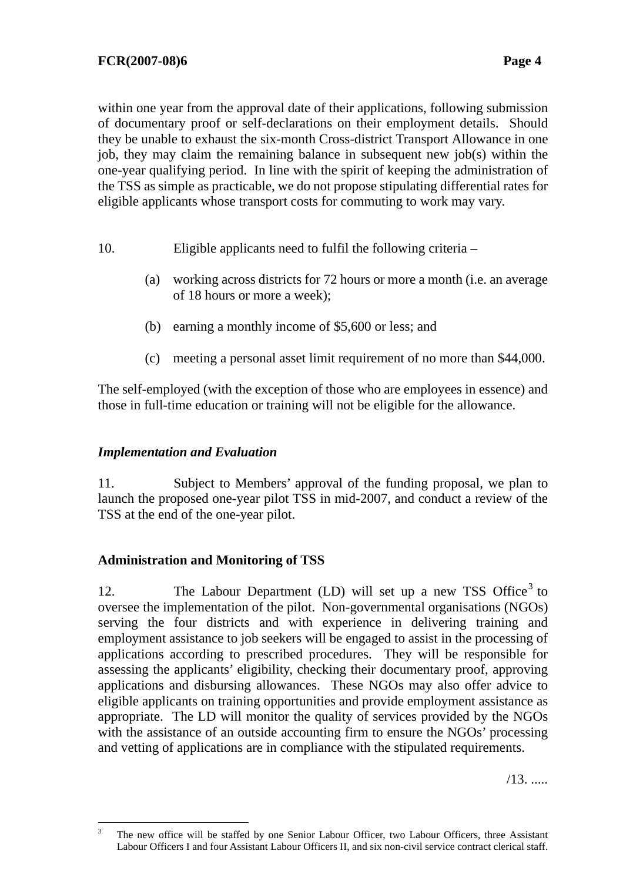within one year from the approval date of their applications, following submission of documentary proof or self-declarations on their employment details. Should they be unable to exhaust the six-month Cross-district Transport Allowance in one job, they may claim the remaining balance in subsequent new job(s) within the one-year qualifying period. In line with the spirit of keeping the administration of the TSS as simple as practicable, we do not propose stipulating differential rates for eligible applicants whose transport costs for commuting to work may vary.

- 10. Eligible applicants need to fulfil the following criteria
	- (a) working across districts for 72 hours or more a month (i.e. an average of 18 hours or more a week);
	- (b) earning a monthly income of \$5,600 or less; and
	- (c) meeting a personal asset limit requirement of no more than \$44,000.

The self-employed (with the exception of those who are employees in essence) and those in full-time education or training will not be eligible for the allowance.

### *Implementation and Evaluation*

11. Subject to Members' approval of the funding proposal, we plan to launch the proposed one-year pilot TSS in mid-2007, and conduct a review of the TSS at the end of the one-year pilot.

# **Administration and Monitoring of TSS**

12. The Labour Department (LD) will set up a new TSS Office<sup>3</sup> to oversee the implementation of the pilot. Non-governmental organisations (NGOs) serving the four districts and with experience in delivering training and employment assistance to job seekers will be engaged to assist in the processing of applications according to prescribed procedures. They will be responsible for assessing the applicants' eligibility, checking their documentary proof, approving applications and disbursing allowances. These NGOs may also offer advice to eligible applicants on training opportunities and provide employment assistance as appropriate. The LD will monitor the quality of services provided by the NGOs with the assistance of an outside accounting firm to ensure the NGOs' processing and vetting of applications are in compliance with the stipulated requirements.

/13. .....

 3 The new office will be staffed by one Senior Labour Officer, two Labour Officers, three Assistant Labour Officers I and four Assistant Labour Officers II, and six non-civil service contract clerical staff.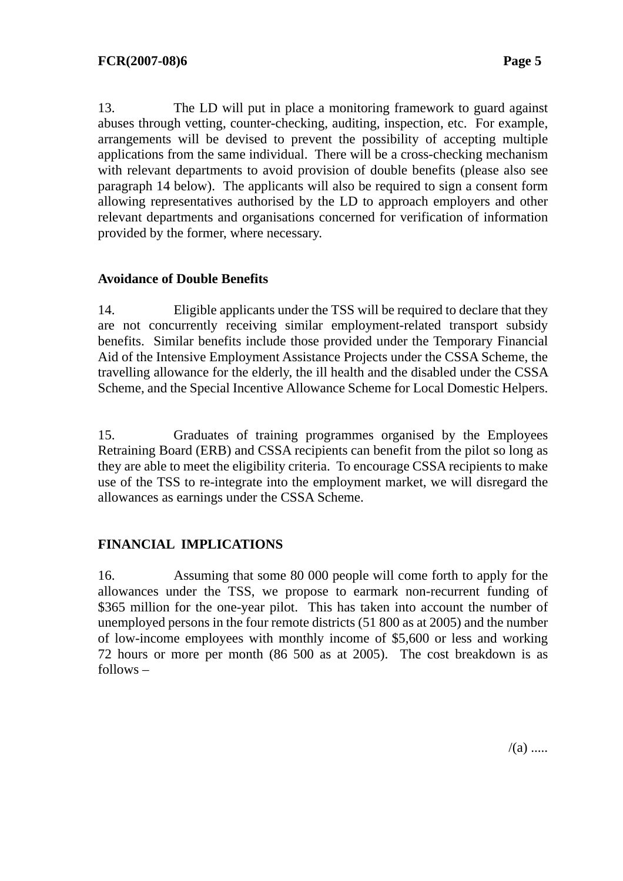13. The LD will put in place a monitoring framework to guard against abuses through vetting, counter-checking, auditing, inspection, etc. For example, arrangements will be devised to prevent the possibility of accepting multiple applications from the same individual. There will be a cross-checking mechanism with relevant departments to avoid provision of double benefits (please also see paragraph 14 below). The applicants will also be required to sign a consent form allowing representatives authorised by the LD to approach employers and other relevant departments and organisations concerned for verification of information provided by the former, where necessary.

### **Avoidance of Double Benefits**

14. Eligible applicants under the TSS will be required to declare that they are not concurrently receiving similar employment-related transport subsidy benefits. Similar benefits include those provided under the Temporary Financial Aid of the Intensive Employment Assistance Projects under the CSSA Scheme, the travelling allowance for the elderly, the ill health and the disabled under the CSSA Scheme, and the Special Incentive Allowance Scheme for Local Domestic Helpers.

15. Graduates of training programmes organised by the Employees Retraining Board (ERB) and CSSA recipients can benefit from the pilot so long as they are able to meet the eligibility criteria. To encourage CSSA recipients to make use of the TSS to re-integrate into the employment market, we will disregard the allowances as earnings under the CSSA Scheme.

# **FINANCIAL IMPLICATIONS**

16. Assuming that some 80 000 people will come forth to apply for the allowances under the TSS, we propose to earmark non-recurrent funding of \$365 million for the one-year pilot. This has taken into account the number of unemployed persons in the four remote districts (51 800 as at 2005) and the number of low-income employees with monthly income of \$5,600 or less and working 72 hours or more per month (86 500 as at 2005). The cost breakdown is as follows –

 $/(a)$  .....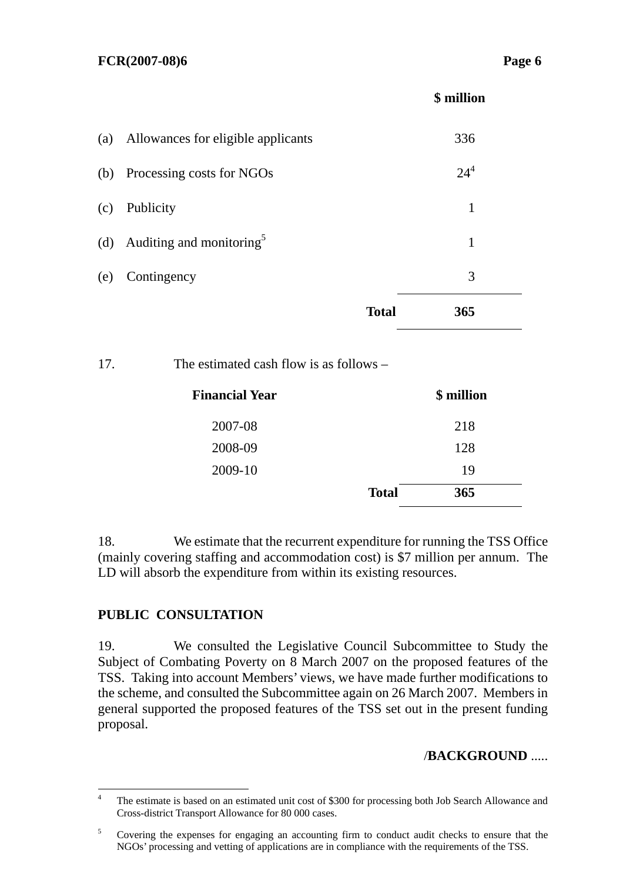#### **FCR(2007-08)6 Page 6**

 **\$ million** 

| (a) | Allowances for eligible applicants   |              | 336      |
|-----|--------------------------------------|--------------|----------|
| (b) | Processing costs for NGOs            |              | $24^{4}$ |
| (c) | Publicity                            |              | 1        |
| (d) | Auditing and monitoring <sup>5</sup> |              | 1        |
| (e) | Contingency                          |              | 3        |
|     |                                      | <b>Total</b> | 365      |

### 17. The estimated cash flow is as follows –

| <b>Financial Year</b> |              | \$ million |  |
|-----------------------|--------------|------------|--|
| 2007-08               |              | 218        |  |
| 2008-09               |              | 128        |  |
| 2009-10               |              | 19         |  |
|                       | <b>Total</b> | 365        |  |

18. We estimate that the recurrent expenditure for running the TSS Office (mainly covering staffing and accommodation cost) is \$7 million per annum. The LD will absorb the expenditure from within its existing resources.

### **PUBLIC CONSULTATION**

19. We consulted the Legislative Council Subcommittee to Study the Subject of Combating Poverty on 8 March 2007 on the proposed features of the TSS. Taking into account Members' views, we have made further modifications to the scheme, and consulted the Subcommittee again on 26 March 2007. Members in general supported the proposed features of the TSS set out in the present funding proposal.

### /**BACKGROUND** .....

 $\frac{1}{4}$  The estimate is based on an estimated unit cost of \$300 for processing both Job Search Allowance and Cross-district Transport Allowance for 80 000 cases.

<sup>5</sup> Covering the expenses for engaging an accounting firm to conduct audit checks to ensure that the NGOs' processing and vetting of applications are in compliance with the requirements of the TSS.